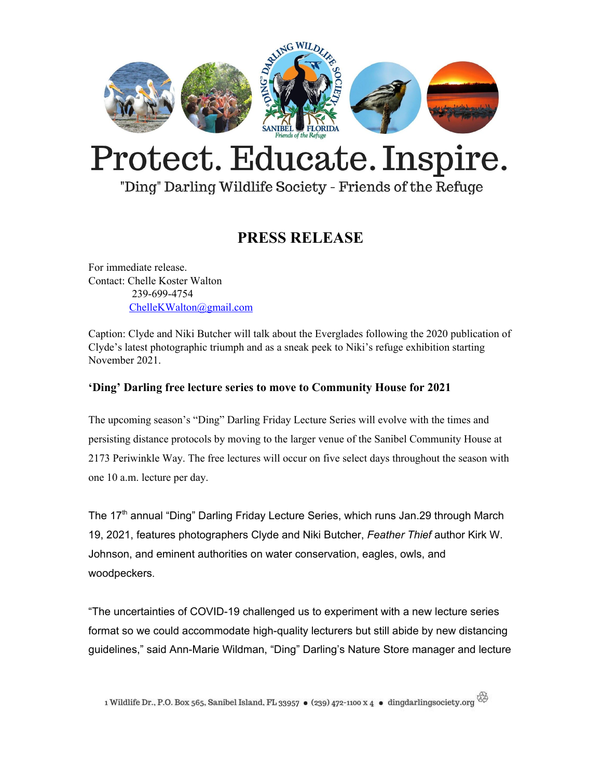

# Protect. Educate. Inspire.

"Ding" Darling Wildlife Society - Friends of the Refuge

### **PRESS RELEASE**

For immediate release. Contact: Chelle Koster Walton 239-699-4754 [ChelleKWalton@gmail.com](mailto:ChelleKWalton@gmail.com)

Caption: Clyde and Niki Butcher will talk about the Everglades following the 2020 publication of Clyde's latest photographic triumph and as a sneak peek to Niki's refuge exhibition starting November 2021.

### **'Ding' Darling free lecture series to move to Community House for 2021**

The upcoming season's "Ding" Darling Friday Lecture Series will evolve with the times and persisting distance protocols by moving to the larger venue of the Sanibel Community House at 2173 Periwinkle Way. The free lectures will occur on five select days throughout the season with one 10 a.m. lecture per day.

The 17<sup>th</sup> annual "Ding" Darling Friday Lecture Series, which runs Jan.29 through March 19, 2021, features photographers Clyde and Niki Butcher, *Feather Thief* author Kirk W. Johnson, and eminent authorities on water conservation, eagles, owls, and woodpeckers.

"The uncertainties of COVID-19 challenged us to experiment with a new lecture series format so we could accommodate high-quality lecturers but still abide by new distancing guidelines," said Ann-Marie Wildman, "Ding" Darling's Nature Store manager and lecture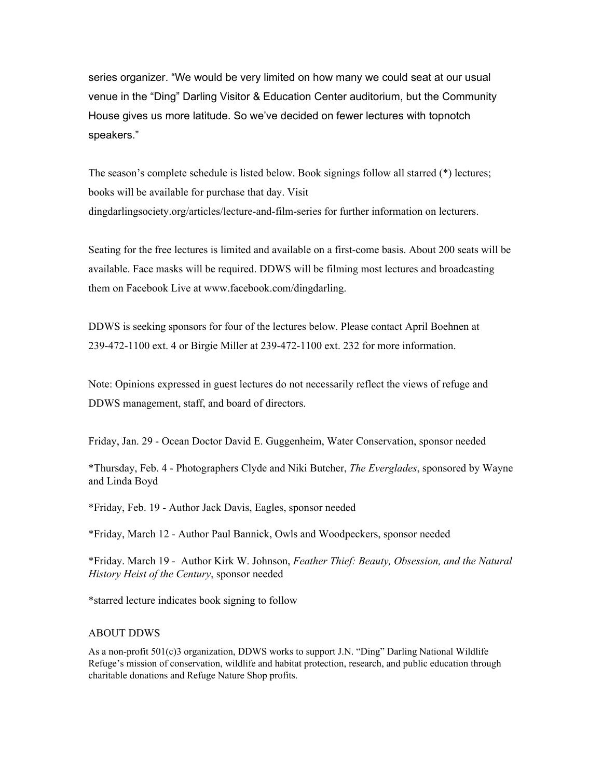series organizer. "We would be very limited on how many we could seat at our usual venue in the "Ding" Darling Visitor & Education Center auditorium, but the Community House gives us more latitude. So we've decided on fewer lectures with topnotch speakers."

The season's complete schedule is listed below. Book signings follow all starred (\*) lectures; books will be available for purchase that day. Visit dingdarlingsociety.org/articles/lecture-and-film-series for further information on lecturers.

Seating for the free lectures is limited and available on a first-come basis. About 200 seats will be available. Face masks will be required. DDWS will be filming most lectures and broadcasting them on Facebook Live at www.facebook.com/dingdarling.

DDWS is seeking sponsors for four of the lectures below. Please contact April Boehnen at 239-472-1100 ext. 4 or Birgie Miller at 239-472-1100 ext. 232 for more information.

Note: Opinions expressed in guest lectures do not necessarily reflect the views of refuge and DDWS management, staff, and board of directors.

Friday, Jan. 29 - Ocean Doctor David E. Guggenheim, Water Conservation, sponsor needed

\*Thursday, Feb. 4 - Photographers Clyde and Niki Butcher, *The Everglades*, sponsored by Wayne and Linda Boyd

\*Friday, Feb. 19 - Author Jack Davis, Eagles, sponsor needed

\*Friday, March 12 - Author Paul Bannick, Owls and Woodpeckers, sponsor needed

\*Friday. March 19 - Author Kirk W. Johnson, *Feather Thief: Beauty, Obsession, and the Natural History Heist of the Century*, sponsor needed

\*starred lecture indicates book signing to follow

#### ABOUT DDWS

As a non-profit 501(c)3 organization, DDWS works to support J.N. "Ding" Darling National Wildlife Refuge's mission of conservation, wildlife and habitat protection, research, and public education through charitable donations and Refuge Nature Shop profits.